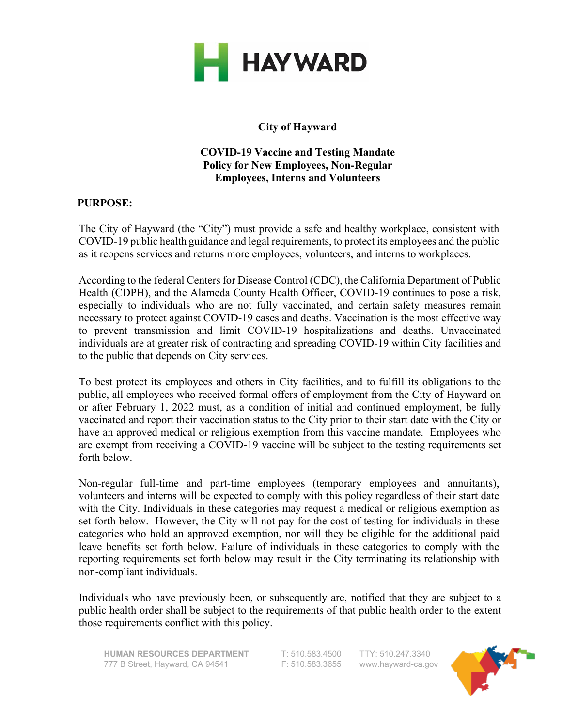

# **City of Hayward**

#### **COVID-19 Vaccine and Testing Mandate Policy for New Employees, Non-Regular Employees, Interns and Volunteers**

#### **PURPOSE:**

The City of Hayward (the "City") must provide a safe and healthy workplace, consistent with COVID-19 public health guidance and legal requirements, to protect its employees and the public as it reopens services and returns more employees, volunteers, and interns to workplaces.

According to the federal Centersfor Disease Control (CDC), the California Department of Public Health (CDPH), and the Alameda County Health Officer, COVID-19 continues to pose a risk, especially to individuals who are not fully vaccinated, and certain safety measures remain necessary to protect against COVID-19 cases and deaths. Vaccination is the most effective way to prevent transmission and limit COVID-19 hospitalizations and deaths. Unvaccinated individuals are at greater risk of contracting and spreading COVID-19 within City facilities and to the public that depends on City services.

To best protect its employees and others in City facilities, and to fulfill its obligations to the public, all employees who received formal offers of employment from the City of Hayward on or after February 1, 2022 must, as a condition of initial and continued employment, be fully vaccinated and report their vaccination status to the City prior to their start date with the City or have an approved medical or religious exemption from this vaccine mandate. Employees who are exempt from receiving a COVID-19 vaccine will be subject to the testing requirements set forth below.

Non-regular full-time and part-time employees (temporary employees and annuitants), volunteers and interns will be expected to comply with this policy regardless of their start date with the City. Individuals in these categories may request a medical or religious exemption as set forth below. However, the City will not pay for the cost of testing for individuals in these categories who hold an approved exemption, nor will they be eligible for the additional paid leave benefits set forth below. Failure of individuals in these categories to comply with the reporting requirements set forth below may result in the City terminating its relationship with non-compliant individuals.

Individuals who have previously been, or subsequently are, notified that they are subject to a public health order shall be subject to the requirements of that public health order to the extent those requirements conflict with this policy.

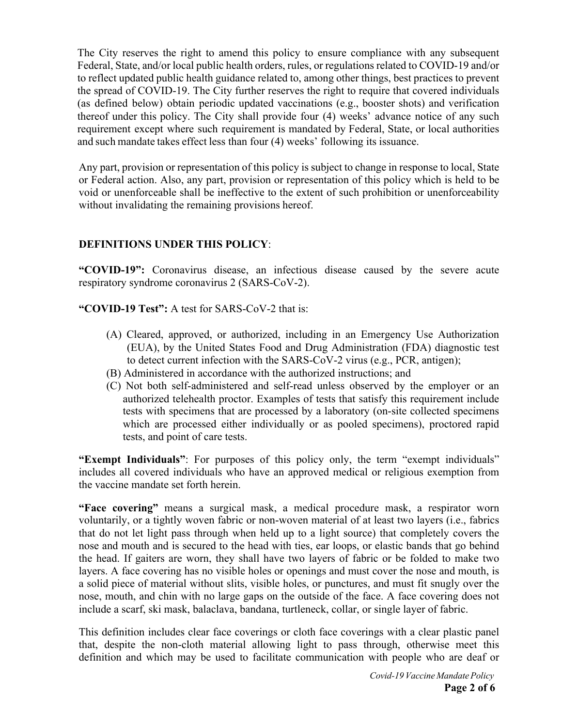The City reserves the right to amend this policy to ensure compliance with any subsequent Federal, State, and/or local public health orders, rules, or regulations related to COVID-19 and/or to reflect updated public health guidance related to, among other things, best practices to prevent the spread of COVID-19. The City further reserves the right to require that covered individuals (as defined below) obtain periodic updated vaccinations (e.g., booster shots) and verification thereof under this policy. The City shall provide four (4) weeks' advance notice of any such requirement except where such requirement is mandated by Federal, State, or local authorities and such mandate takes effect less than four (4) weeks' following its issuance.

Any part, provision or representation of this policy is subject to change in response to local, State or Federal action. Also, any part, provision or representation of this policy which is held to be void or unenforceable shall be ineffective to the extent of such prohibition or unenforceability without invalidating the remaining provisions hereof.

## **DEFINITIONS UNDER THIS POLICY**:

**"COVID-19":** Coronavirus disease, an infectious disease caused by the severe acute respiratory syndrome coronavirus 2 (SARS-CoV-2).

**"COVID-19 Test":** A test for SARS-CoV-2 that is:

- (A) Cleared, approved, or authorized, including in an Emergency Use Authorization (EUA), by the United States Food and Drug Administration (FDA) diagnostic test to detect current infection with the SARS-CoV-2 virus (e.g., PCR, antigen);
- (B) Administered in accordance with the authorized instructions; and
- (C) Not both self-administered and self-read unless observed by the employer or an authorized telehealth proctor. Examples of tests that satisfy this requirement include tests with specimens that are processed by a laboratory (on-site collected specimens which are processed either individually or as pooled specimens), proctored rapid tests, and point of care tests.

**"Exempt Individuals"**: For purposes of this policy only, the term "exempt individuals" includes all covered individuals who have an approved medical or religious exemption from the vaccine mandate set forth herein.

**"Face covering"** means a surgical mask, a medical procedure mask, a respirator worn voluntarily, or a tightly woven fabric or non-woven material of at least two layers (i.e., fabrics that do not let light pass through when held up to a light source) that completely covers the nose and mouth and is secured to the head with ties, ear loops, or elastic bands that go behind the head. If gaiters are worn, they shall have two layers of fabric or be folded to make two layers. A face covering has no visible holes or openings and must cover the nose and mouth, is a solid piece of material without slits, visible holes, or punctures, and must fit snugly over the nose, mouth, and chin with no large gaps on the outside of the face. A face covering does not include a scarf, ski mask, balaclava, bandana, turtleneck, collar, or single layer of fabric.

This definition includes clear face coverings or cloth face coverings with a clear plastic panel that, despite the non-cloth material allowing light to pass through, otherwise meet this definition and which may be used to facilitate communication with people who are deaf or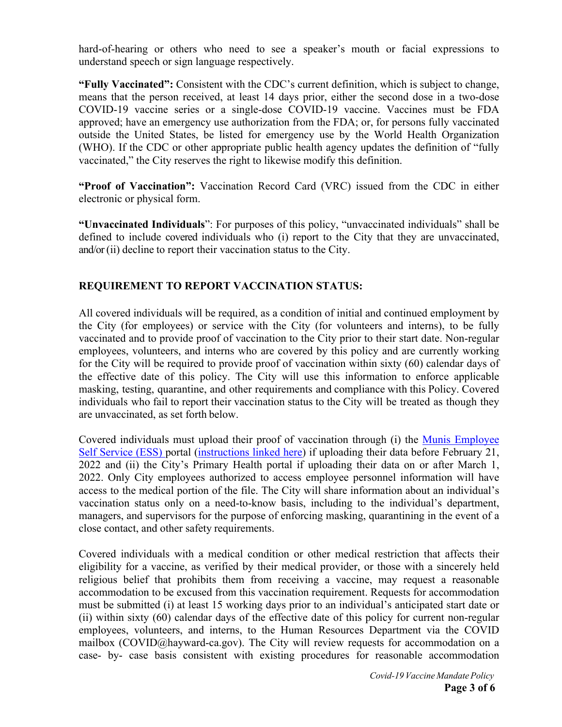hard-of-hearing or others who need to see a speaker's mouth or facial expressions to understand speech or sign language respectively.

**"Fully Vaccinated":** Consistent with the CDC's current definition, which is subject to change, means that the person received, at least 14 days prior, either the second dose in a two-dose COVID-19 vaccine series or a single-dose COVID-19 vaccine. Vaccines must be FDA approved; have an emergency use authorization from the FDA; or, for persons fully vaccinated outside the United States, be listed for emergency use by the World Health Organization (WHO). If the CDC or other appropriate public health agency updates the definition of "fully vaccinated," the City reserves the right to likewise modify this definition.

**"Proof of Vaccination":** Vaccination Record Card (VRC) issued from the CDC in either electronic or physical form.

**"Unvaccinated Individuals**": For purposes of this policy, "unvaccinated individuals" shall be defined to include covered individuals who (i) report to the City that they are unvaccinated, and/or (ii) decline to report their vaccination status to the City.

# **REQUIREMENT TO REPORT VACCINATION STATUS:**

All covered individuals will be required, as a condition of initial and continued employment by the City (for employees) or service with the City (for volunteers and interns), to be fully vaccinated and to provide proof of vaccination to the City prior to their start date. Non-regular employees, volunteers, and interns who are covered by this policy and are currently working for the City will be required to provide proof of vaccination within sixty (60) calendar days of the effective date of this policy. The City will use this information to enforce applicable masking, testing, quarantine, and other requirements and compliance with this Policy. Covered individuals who fail to report their vaccination status to the City will be treated as though they are unvaccinated, as set forth below.

Covered individuals must upload their proof of vaccination through (i) the Munis Employee Self Service (ESS) portal (instructions linked here) if uploading their data before February 21, 2022 and (ii) the City's Primary Health portal if uploading their data on or after March 1, 2022. Only City employees authorized to access employee personnel information will have access to the medical portion of the file. The City will share information about an individual's vaccination status only on a need-to-know basis, including to the individual's department, managers, and supervisors for the purpose of enforcing masking, quarantining in the event of a close contact, and other safety requirements.

Covered individuals with a medical condition or other medical restriction that affects their eligibility for a vaccine, as verified by their medical provider, or those with a sincerely held religious belief that prohibits them from receiving a vaccine, may request a reasonable accommodation to be excused from this vaccination requirement. Requests for accommodation must be submitted (i) at least 15 working days prior to an individual's anticipated start date or (ii) within sixty (60) calendar days of the effective date of this policy for current non-regular employees, volunteers, and interns, to the Human Resources Department via the COVID mailbox (COVID@hayward-ca.gov). The City will review requests for accommodation on a case- by- case basis consistent with existing procedures for reasonable accommodation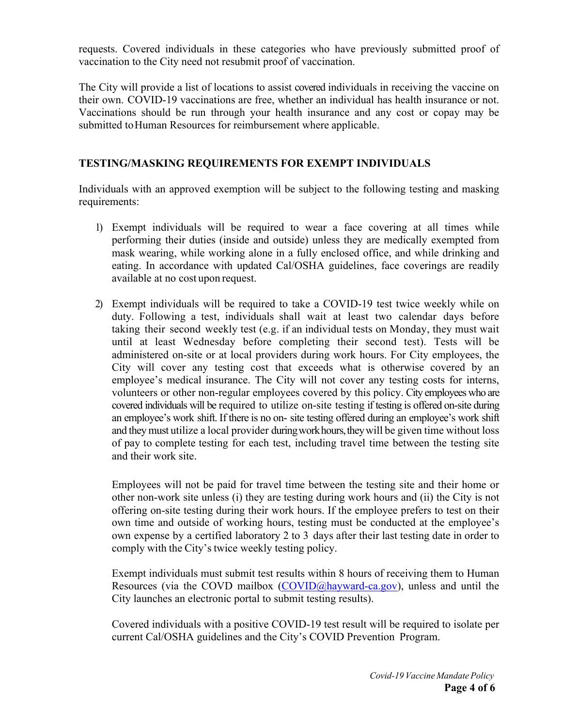requests. Covered individuals in these categories who have previously submitted proof of vaccination to the City need not resubmit proof of vaccination.

The City will provide a list of locations to assist covered individuals in receiving the vaccine on their own. COVID-19 vaccinations are free, whether an individual has health insurance or not. Vaccinations should be run through your health insurance and any cost or copay may be submitted to Human Resources for reimbursement where applicable.

### **TESTING/MASKING REQUIREMENTS FOR EXEMPT INDIVIDUALS**

Individuals with an approved exemption will be subject to the following testing and masking requirements:

- 1) Exempt individuals will be required to wear a face covering at all times while performing their duties (inside and outside) unless they are medically exempted from mask wearing, while working alone in a fully enclosed office, and while drinking and eating. In accordance with updated Cal/OSHA guidelines, face coverings are readily available at no cost upon request.
- 2) Exempt individuals will be required to take a COVID-19 test twice weekly while on duty. Following a test, individuals shall wait at least two calendar days before taking their second weekly test (e.g. if an individual tests on Monday, they must wait until at least Wednesday before completing their second test). Tests will be administered on-site or at local providers during work hours. For City employees, the City will cover any testing cost that exceeds what is otherwise covered by an employee's medical insurance. The City will not cover any testing costs for interns, volunteers or other non-regular employees covered by this policy. City employees who are covered individuals will be required to utilize on-site testing if testing is offered on-site during an employee's work shift. If there is no on- site testing offered during an employee's work shift and they must utilize a local provider duringworkhours,theywill be given time without loss of pay to complete testing for each test, including travel time between the testing site and their work site.

Employees will not be paid for travel time between the testing site and their home or other non-work site unless (i) they are testing during work hours and (ii) the City is not offering on-site testing during their work hours. If the employee prefers to test on their own time and outside of working hours, testing must be conducted at the employee's own expense by a certified laboratory 2 to 3 days after their last testing date in order to comply with the City's twice weekly testing policy.

Exempt individuals must submit test results within 8 hours of receiving them to Human Resources (via the COVD mailbox (COVID@hayward-ca.gov), unless and until the City launches an electronic portal to submit testing results).

Covered individuals with a positive COVID-19 test result will be required to isolate per current Cal/OSHA guidelines and the City's COVID Prevention Program.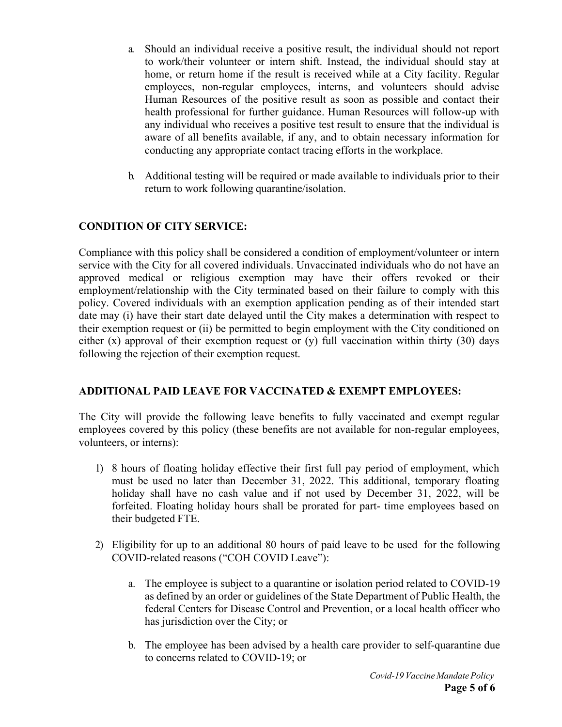- a. Should an individual receive a positive result, the individual should not report to work/their volunteer or intern shift. Instead, the individual should stay at home, or return home if the result is received while at a City facility. Regular employees, non-regular employees, interns, and volunteers should advise Human Resources of the positive result as soon as possible and contact their health professional for further guidance. Human Resources will follow-up with any individual who receives a positive test result to ensure that the individual is aware of all benefits available, if any, and to obtain necessary information for conducting any appropriate contact tracing efforts in the workplace.
- b. Additional testing will be required or made available to individuals prior to their return to work following quarantine/isolation.

## **CONDITION OF CITY SERVICE:**

Compliance with this policy shall be considered a condition of employment/volunteer or intern service with the City for all covered individuals. Unvaccinated individuals who do not have an approved medical or religious exemption may have their offers revoked or their employment/relationship with the City terminated based on their failure to comply with this policy. Covered individuals with an exemption application pending as of their intended start date may (i) have their start date delayed until the City makes a determination with respect to their exemption request or (ii) be permitted to begin employment with the City conditioned on either  $(x)$  approval of their exemption request or  $(y)$  full vaccination within thirty  $(30)$  days following the rejection of their exemption request.

### **ADDITIONAL PAID LEAVE FOR VACCINATED & EXEMPT EMPLOYEES:**

The City will provide the following leave benefits to fully vaccinated and exempt regular employees covered by this policy (these benefits are not available for non-regular employees, volunteers, or interns):

- 1) 8 hours of floating holiday effective their first full pay period of employment, which must be used no later than December 31, 2022. This additional, temporary floating holiday shall have no cash value and if not used by December 31, 2022, will be forfeited. Floating holiday hours shall be prorated for part- time employees based on their budgeted FTE.
- 2) Eligibility for up to an additional 80 hours of paid leave to be used for the following COVID-related reasons ("COH COVID Leave"):
	- a. The employee is subject to a quarantine or isolation period related to COVID-19 as defined by an order or guidelines of the State Department of Public Health, the federal Centers for Disease Control and Prevention, or a local health officer who has jurisdiction over the City; or
	- b. The employee has been advised by a health care provider to self-quarantine due to concerns related to COVID-19; or